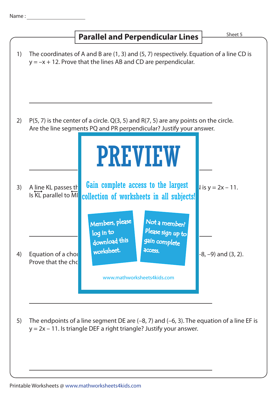

 $y = 2x - 11$ . Is triangle DEF a right triangle? Justify your answer.